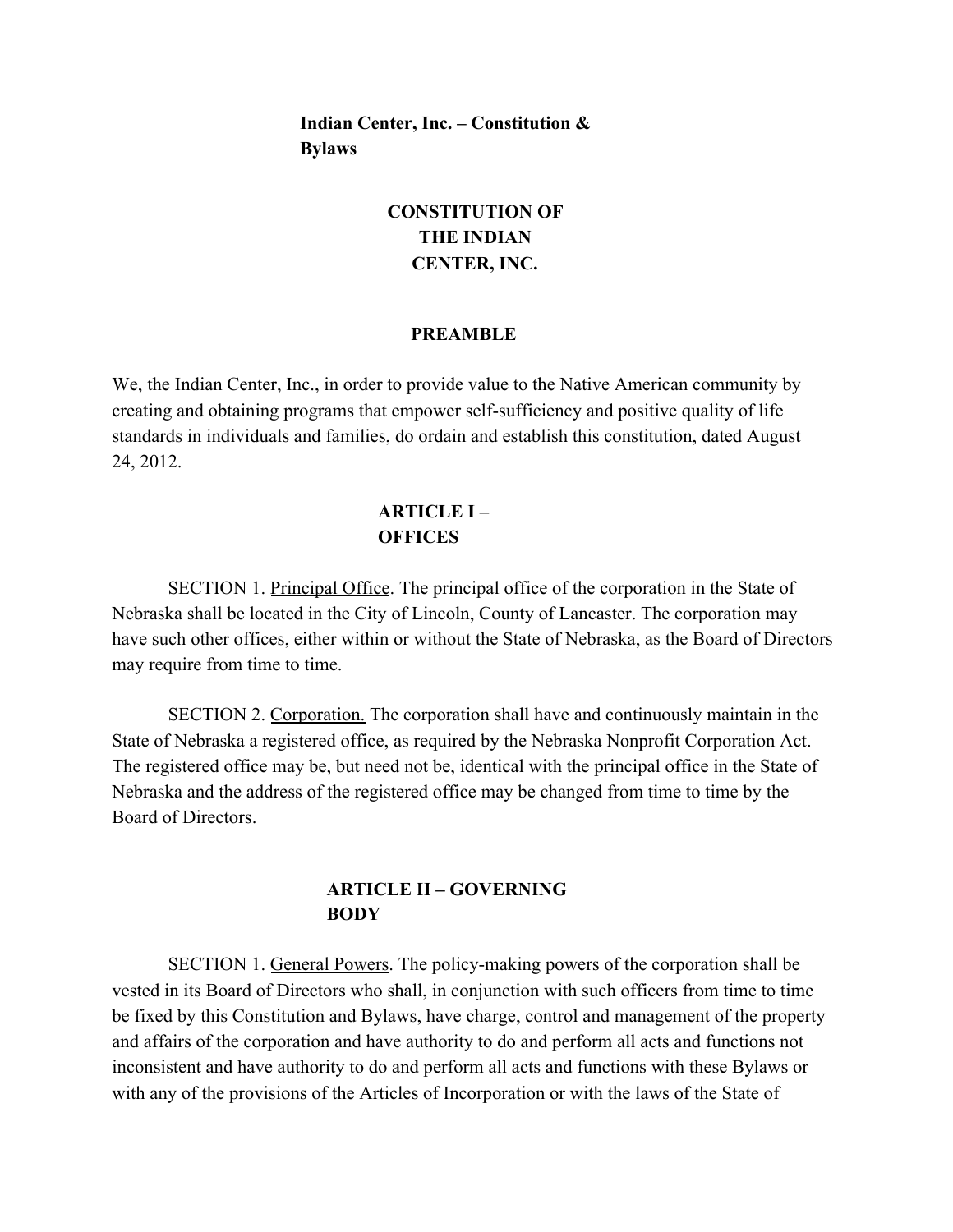**Indian Center, Inc. – Constitution & Bylaws**

# **CONSTITUTION OF THE INDIAN CENTER, INC.**

#### **PREAMBLE**

We, the Indian Center, Inc., in order to provide value to the Native American community by creating and obtaining programs that empower self-sufficiency and positive quality of life standards in individuals and families, do ordain and establish this constitution, dated August 24, 2012.

## **ARTICLE I – OFFICES**

SECTION 1. Principal Office. The principal office of the corporation in the State of Nebraska shall be located in the City of Lincoln, County of Lancaster. The corporation may have such other offices, either within or without the State of Nebraska, as the Board of Directors may require from time to time.

SECTION 2. Corporation. The corporation shall have and continuously maintain in the State of Nebraska a registered office, as required by the Nebraska Nonprofit Corporation Act. The registered office may be, but need not be, identical with the principal office in the State of Nebraska and the address of the registered office may be changed from time to time by the Board of Directors.

## **ARTICLE II – GOVERNING BODY**

SECTION 1. General Powers. The policy-making powers of the corporation shall be vested in its Board of Directors who shall, in conjunction with such officers from time to time be fixed by this Constitution and Bylaws, have charge, control and management of the property and affairs of the corporation and have authority to do and perform all acts and functions not inconsistent and have authority to do and perform all acts and functions with these Bylaws or with any of the provisions of the Articles of Incorporation or with the laws of the State of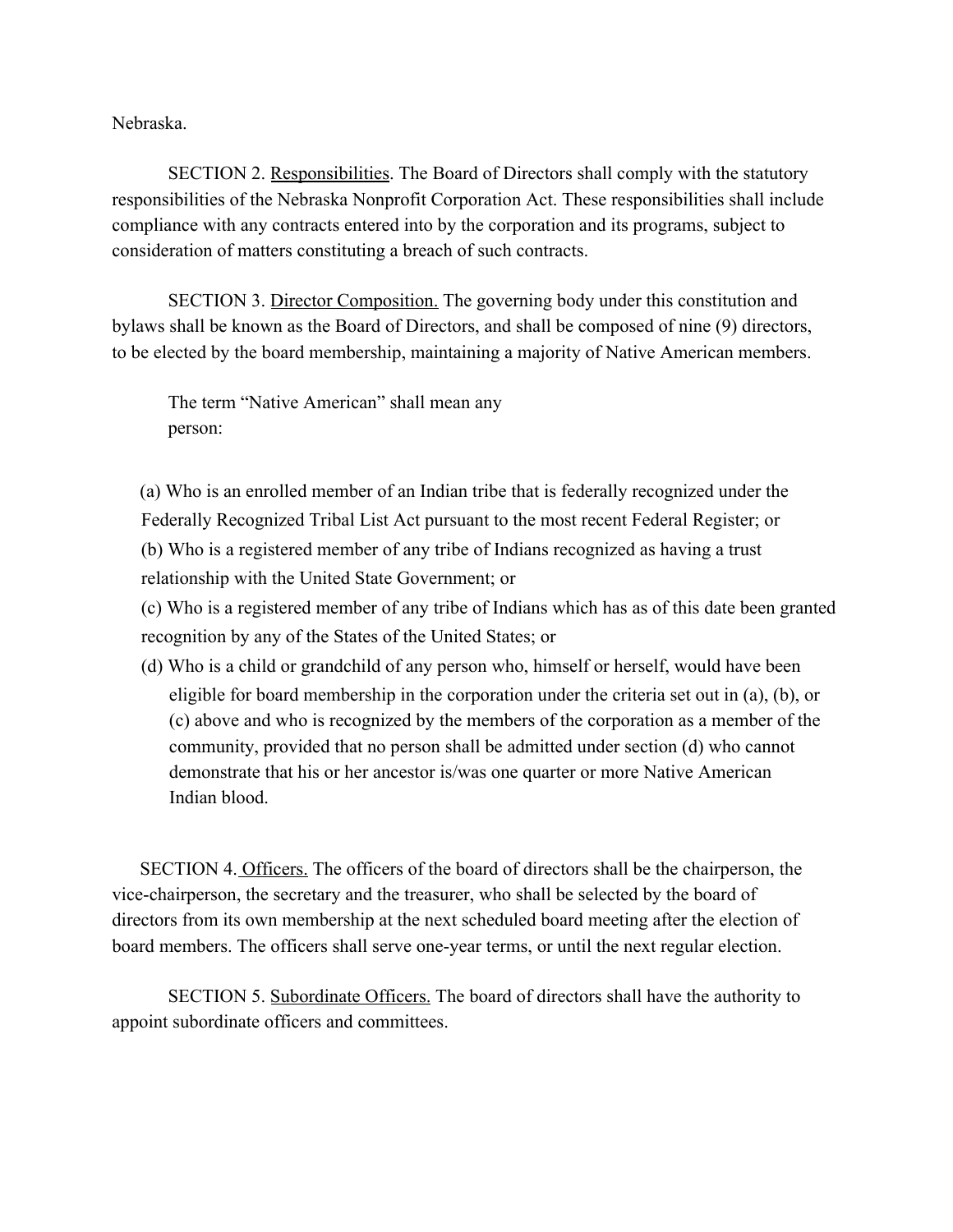Nebraska.

SECTION 2. Responsibilities. The Board of Directors shall comply with the statutory responsibilities of the Nebraska Nonprofit Corporation Act. These responsibilities shall include compliance with any contracts entered into by the corporation and its programs, subject to consideration of matters constituting a breach of such contracts.

SECTION 3. Director Composition. The governing body under this constitution and bylaws shall be known as the Board of Directors, and shall be composed of nine (9) directors, to be elected by the board membership, maintaining a majority of Native American members.

The term "Native American" shall mean any person:

(a) Who is an enrolled member of an Indian tribe that is federally recognized under the Federally Recognized Tribal List Act pursuant to the most recent Federal Register; or (b) Who is a registered member of any tribe of Indians recognized as having a trust relationship with the United State Government; or

(c) Who is a registered member of any tribe of Indians which has as of this date been granted recognition by any of the States of the United States; or

(d) Who is a child or grandchild of any person who, himself or herself, would have been eligible for board membership in the corporation under the criteria set out in (a), (b), or (c) above and who is recognized by the members of the corporation as a member of the community, provided that no person shall be admitted under section (d) who cannot demonstrate that his or her ancestor is/was one quarter or more Native American Indian blood.

SECTION 4. Officers. The officers of the board of directors shall be the chairperson, the vice-chairperson, the secretary and the treasurer, who shall be selected by the board of directors from its own membership at the next scheduled board meeting after the election of board members. The officers shall serve one-year terms, or until the next regular election.

SECTION 5. Subordinate Officers. The board of directors shall have the authority to appoint subordinate officers and committees.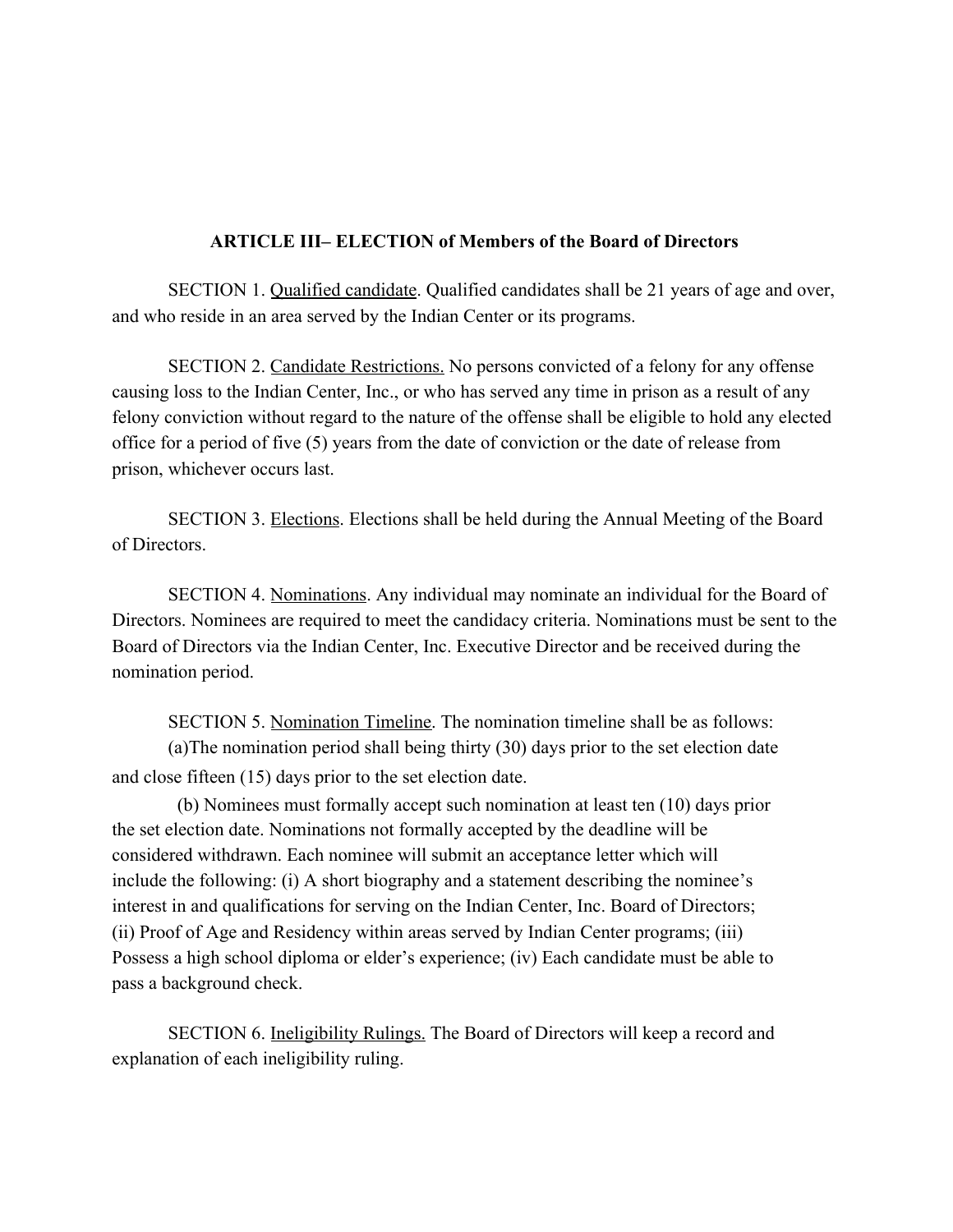### **ARTICLE III– ELECTION of Members of the Board of Directors**

SECTION 1. Qualified candidate. Qualified candidates shall be 21 years of age and over, and who reside in an area served by the Indian Center or its programs.

SECTION 2. Candidate Restrictions. No persons convicted of a felony for any offense causing loss to the Indian Center, Inc., or who has served any time in prison as a result of any felony conviction without regard to the nature of the offense shall be eligible to hold any elected office for a period of five (5) years from the date of conviction or the date of release from prison, whichever occurs last.

SECTION 3. Elections. Elections shall be held during the Annual Meeting of the Board of Directors.

SECTION 4. Nominations. Any individual may nominate an individual for the Board of Directors. Nominees are required to meet the candidacy criteria. Nominations must be sent to the Board of Directors via the Indian Center, Inc. Executive Director and be received during the nomination period.

SECTION 5. Nomination Timeline. The nomination timeline shall be as follows: (a)The nomination period shall being thirty (30) days prior to the set election date and close fifteen (15) days prior to the set election date.

 (b) Nominees must formally accept such nomination at least ten (10) days prior the set election date. Nominations not formally accepted by the deadline will be considered withdrawn. Each nominee will submit an acceptance letter which will include the following: (i) A short biography and a statement describing the nominee's interest in and qualifications for serving on the Indian Center, Inc. Board of Directors; (ii) Proof of Age and Residency within areas served by Indian Center programs; (iii) Possess a high school diploma or elder's experience; (iv) Each candidate must be able to pass a background check.

SECTION 6. Ineligibility Rulings. The Board of Directors will keep a record and explanation of each ineligibility ruling.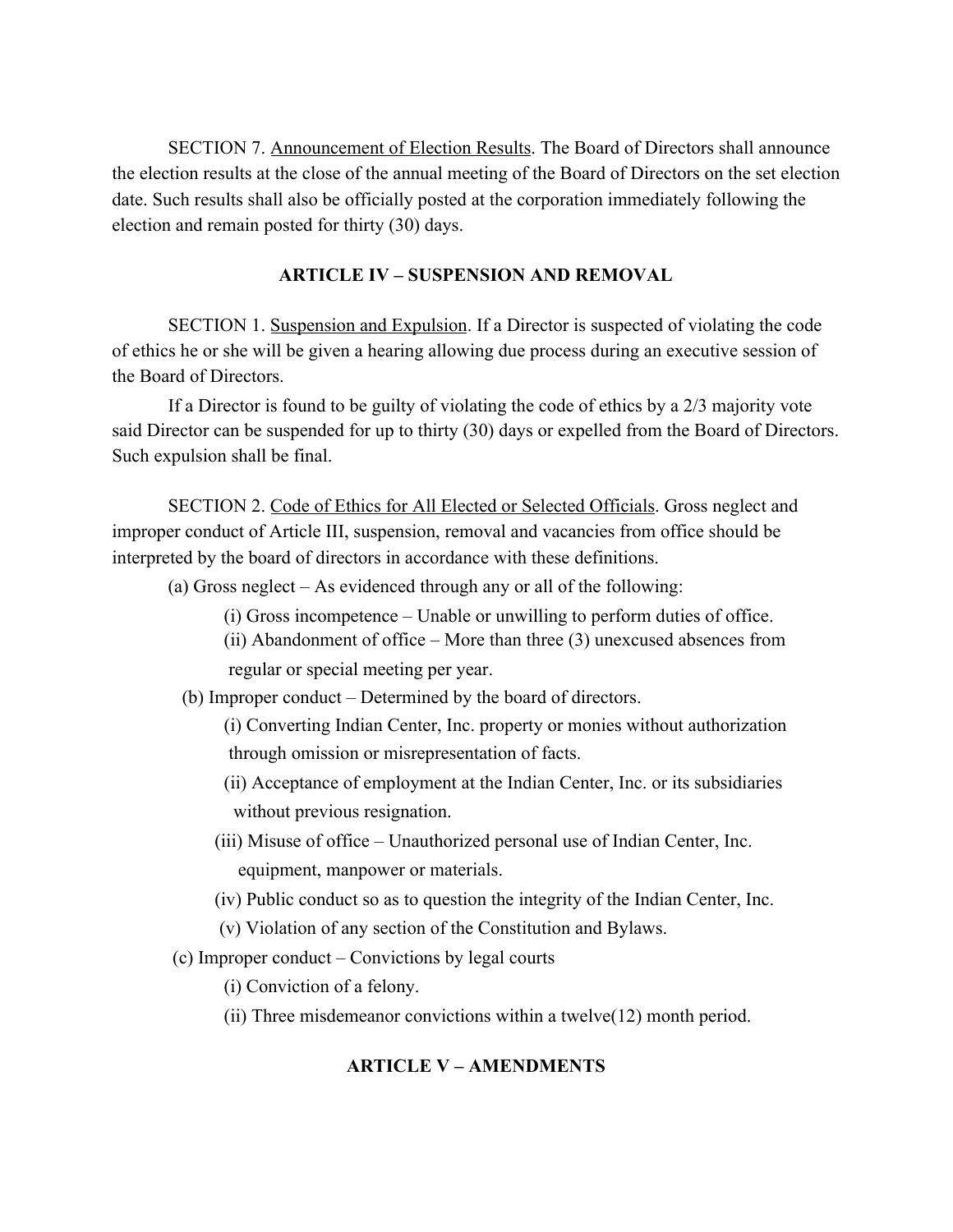SECTION 7. Announcement of Election Results. The Board of Directors shall announce the election results at the close of the annual meeting of the Board of Directors on the set election date. Such results shall also be officially posted at the corporation immediately following the election and remain posted for thirty (30) days.

### **ARTICLE IV – SUSPENSION AND REMOVAL**

SECTION 1. Suspension and Expulsion. If a Director is suspected of violating the code of ethics he or she will be given a hearing allowing due process during an executive session of the Board of Directors.

If a Director is found to be guilty of violating the code of ethics by a 2/3 majority vote said Director can be suspended for up to thirty (30) days or expelled from the Board of Directors. Such expulsion shall be final.

SECTION 2. Code of Ethics for All Elected or Selected Officials. Gross neglect and improper conduct of Article III, suspension, removal and vacancies from office should be interpreted by the board of directors in accordance with these definitions.

- (a) Gross neglect As evidenced through any or all of the following:
	- (i) Gross incompetence Unable or unwilling to perform duties of office.
	- (ii) Abandonment of office More than three (3) unexcused absences from regular or special meeting per year.
	- (b) Improper conduct Determined by the board of directors.
		- (i) Converting Indian Center, Inc. property or monies without authorization through omission or misrepresentation of facts.
		- (ii) Acceptance of employment at the Indian Center, Inc. or its subsidiaries without previous resignation.
		- (iii) Misuse of office Unauthorized personal use of Indian Center, Inc. equipment, manpower or materials.
		- (iv) Public conduct so as to question the integrity of the Indian Center, Inc.
		- (v) Violation of any section of the Constitution and Bylaws.
- (c) Improper conduct Convictions by legal courts

(i) Conviction of a felony.

(ii) Three misdemeanor convictions within a twelve(12) month period.

### **ARTICLE V – AMENDMENTS**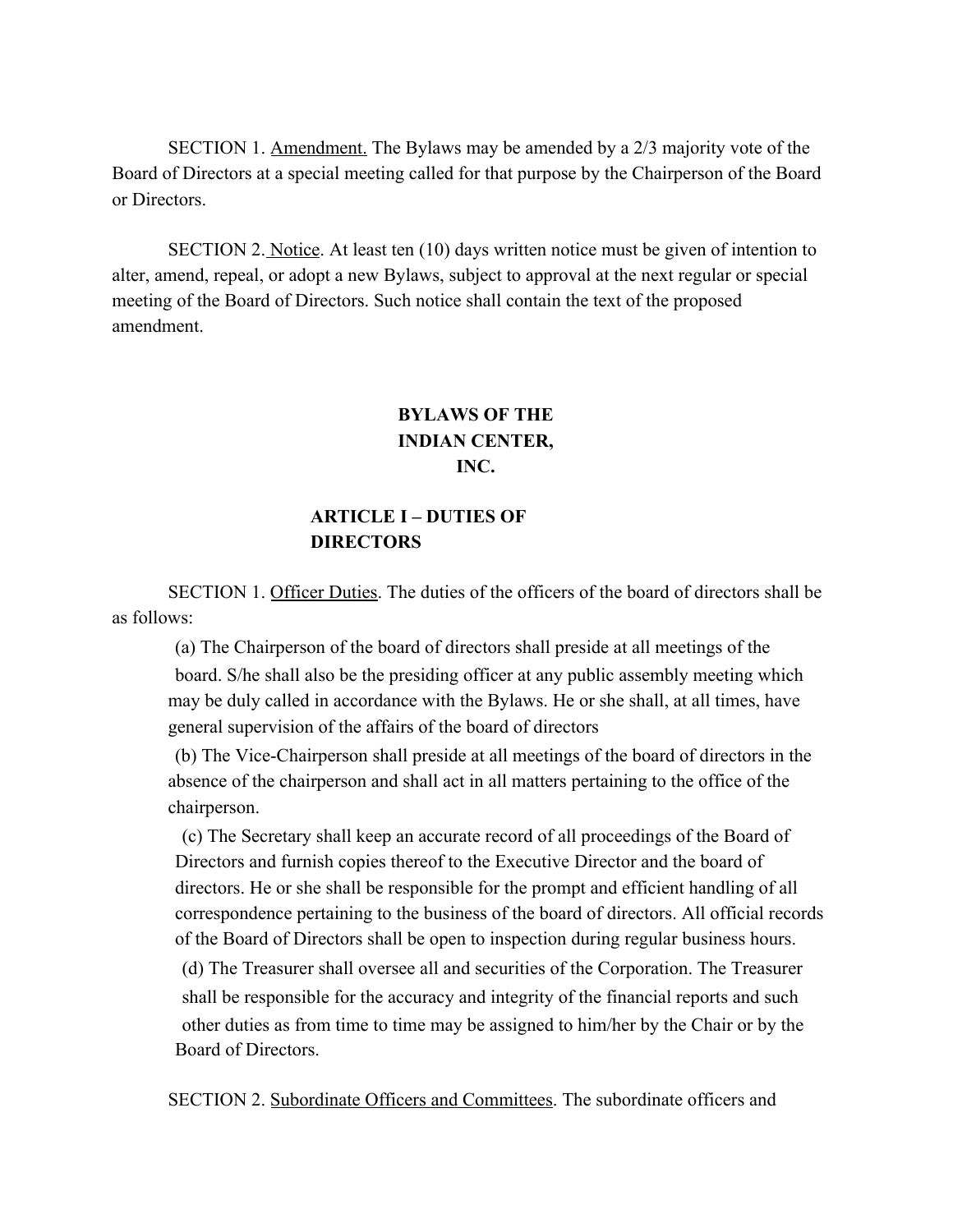SECTION 1. Amendment. The Bylaws may be amended by a 2/3 majority vote of the Board of Directors at a special meeting called for that purpose by the Chairperson of the Board or Directors.

SECTION 2. Notice. At least ten (10) days written notice must be given of intention to alter, amend, repeal, or adopt a new Bylaws, subject to approval at the next regular or special meeting of the Board of Directors. Such notice shall contain the text of the proposed amendment.

# **BYLAWS OF THE INDIAN CENTER, INC.**

# **ARTICLE I – DUTIES OF DIRECTORS**

SECTION 1. Officer Duties. The duties of the officers of the board of directors shall be as follows:

(a) The Chairperson of the board of directors shall preside at all meetings of the board. S/he shall also be the presiding officer at any public assembly meeting which may be duly called in accordance with the Bylaws. He or she shall, at all times, have general supervision of the affairs of the board of directors

(b) The Vice-Chairperson shall preside at all meetings of the board of directors in the absence of the chairperson and shall act in all matters pertaining to the office of the chairperson.

(c) The Secretary shall keep an accurate record of all proceedings of the Board of Directors and furnish copies thereof to the Executive Director and the board of directors. He or she shall be responsible for the prompt and efficient handling of all correspondence pertaining to the business of the board of directors. All official records of the Board of Directors shall be open to inspection during regular business hours.

(d) The Treasurer shall oversee all and securities of the Corporation. The Treasurer shall be responsible for the accuracy and integrity of the financial reports and such other duties as from time to time may be assigned to him/her by the Chair or by the Board of Directors.

SECTION 2. Subordinate Officers and Committees. The subordinate officers and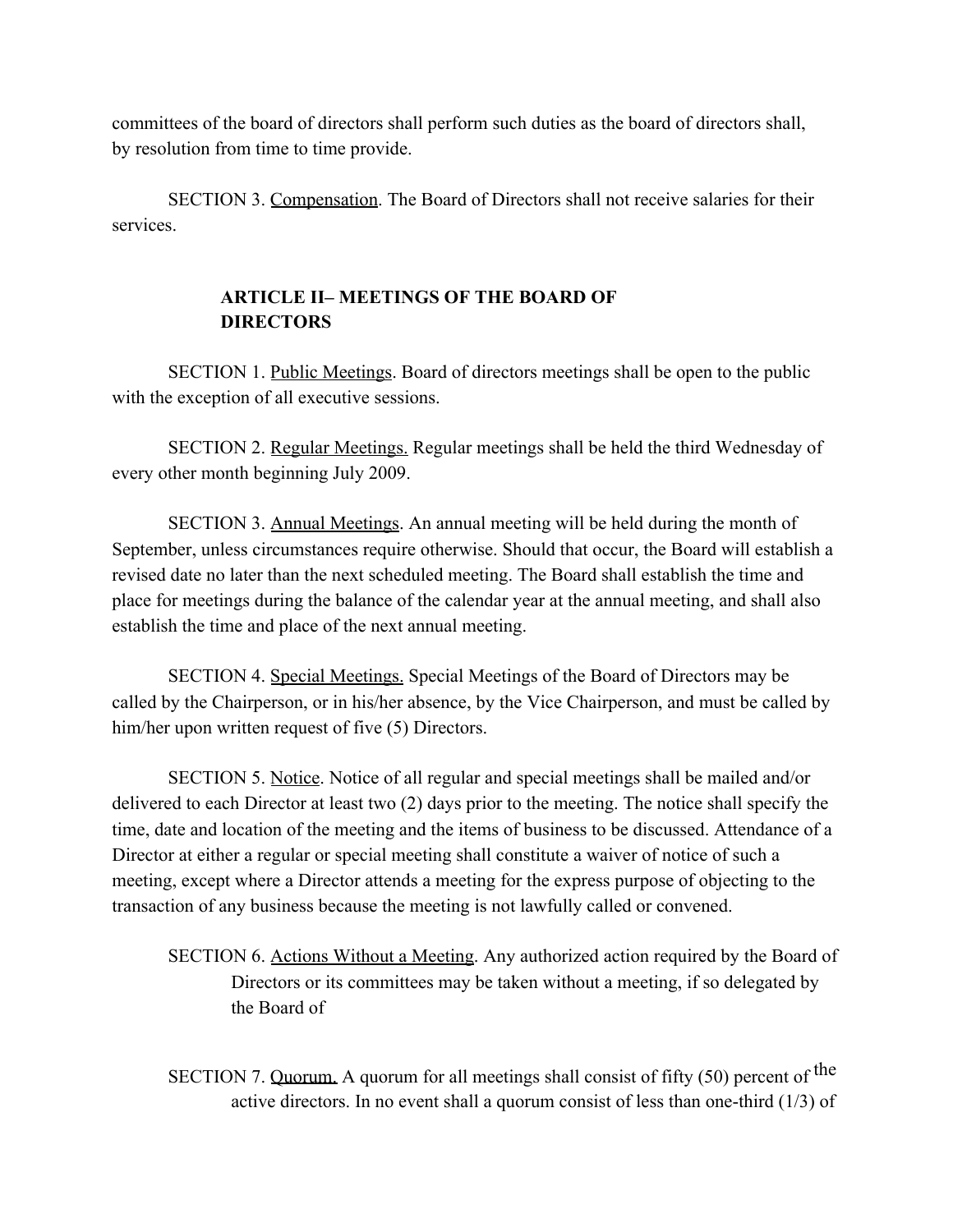committees of the board of directors shall perform such duties as the board of directors shall, by resolution from time to time provide.

SECTION 3. Compensation. The Board of Directors shall not receive salaries for their services.

# **ARTICLE II– MEETINGS OF THE BOARD OF DIRECTORS**

SECTION 1. Public Meetings. Board of directors meetings shall be open to the public with the exception of all executive sessions.

SECTION 2. Regular Meetings. Regular meetings shall be held the third Wednesday of every other month beginning July 2009.

SECTION 3. Annual Meetings. An annual meeting will be held during the month of September, unless circumstances require otherwise. Should that occur, the Board will establish a revised date no later than the next scheduled meeting. The Board shall establish the time and place for meetings during the balance of the calendar year at the annual meeting, and shall also establish the time and place of the next annual meeting.

SECTION 4. Special Meetings. Special Meetings of the Board of Directors may be called by the Chairperson, or in his/her absence, by the Vice Chairperson, and must be called by him/her upon written request of five (5) Directors.

SECTION 5. Notice. Notice of all regular and special meetings shall be mailed and/or delivered to each Director at least two (2) days prior to the meeting. The notice shall specify the time, date and location of the meeting and the items of business to be discussed. Attendance of a Director at either a regular or special meeting shall constitute a waiver of notice of such a meeting, except where a Director attends a meeting for the express purpose of objecting to the transaction of any business because the meeting is not lawfully called or convened.

SECTION 6. Actions Without a Meeting. Any authorized action required by the Board of Directors or its committees may be taken without a meeting, if so delegated by the Board of

SECTION 7. Quorum. A quorum for all meetings shall consist of fifty (50) percent of the active directors. In no event shall a quorum consist of less than one-third (1/3) of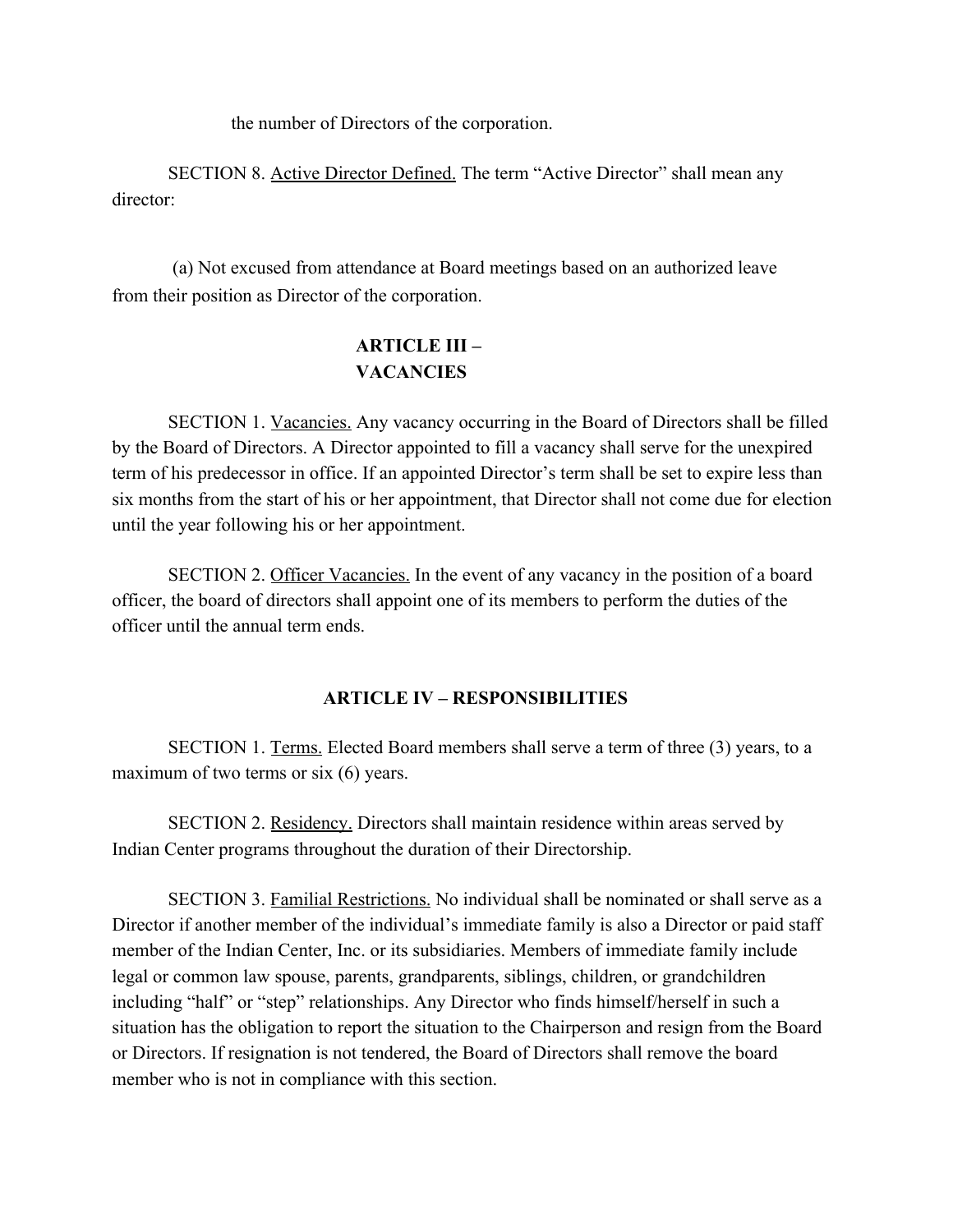the number of Directors of the corporation.

SECTION 8. Active Director Defined. The term "Active Director" shall mean any director:

(a) Not excused from attendance at Board meetings based on an authorized leave from their position as Director of the corporation.

# **ARTICLE III – VACANCIES**

SECTION 1. Vacancies. Any vacancy occurring in the Board of Directors shall be filled by the Board of Directors. A Director appointed to fill a vacancy shall serve for the unexpired term of his predecessor in office. If an appointed Director's term shall be set to expire less than six months from the start of his or her appointment, that Director shall not come due for election until the year following his or her appointment.

SECTION 2. Officer Vacancies. In the event of any vacancy in the position of a board officer, the board of directors shall appoint one of its members to perform the duties of the officer until the annual term ends.

## **ARTICLE IV – RESPONSIBILITIES**

SECTION 1. Terms. Elected Board members shall serve a term of three (3) years, to a maximum of two terms or six (6) years.

SECTION 2. Residency. Directors shall maintain residence within areas served by Indian Center programs throughout the duration of their Directorship.

SECTION 3. Familial Restrictions. No individual shall be nominated or shall serve as a Director if another member of the individual's immediate family is also a Director or paid staff member of the Indian Center, Inc. or its subsidiaries. Members of immediate family include legal or common law spouse, parents, grandparents, siblings, children, or grandchildren including "half" or "step" relationships. Any Director who finds himself/herself in such a situation has the obligation to report the situation to the Chairperson and resign from the Board or Directors. If resignation is not tendered, the Board of Directors shall remove the board member who is not in compliance with this section.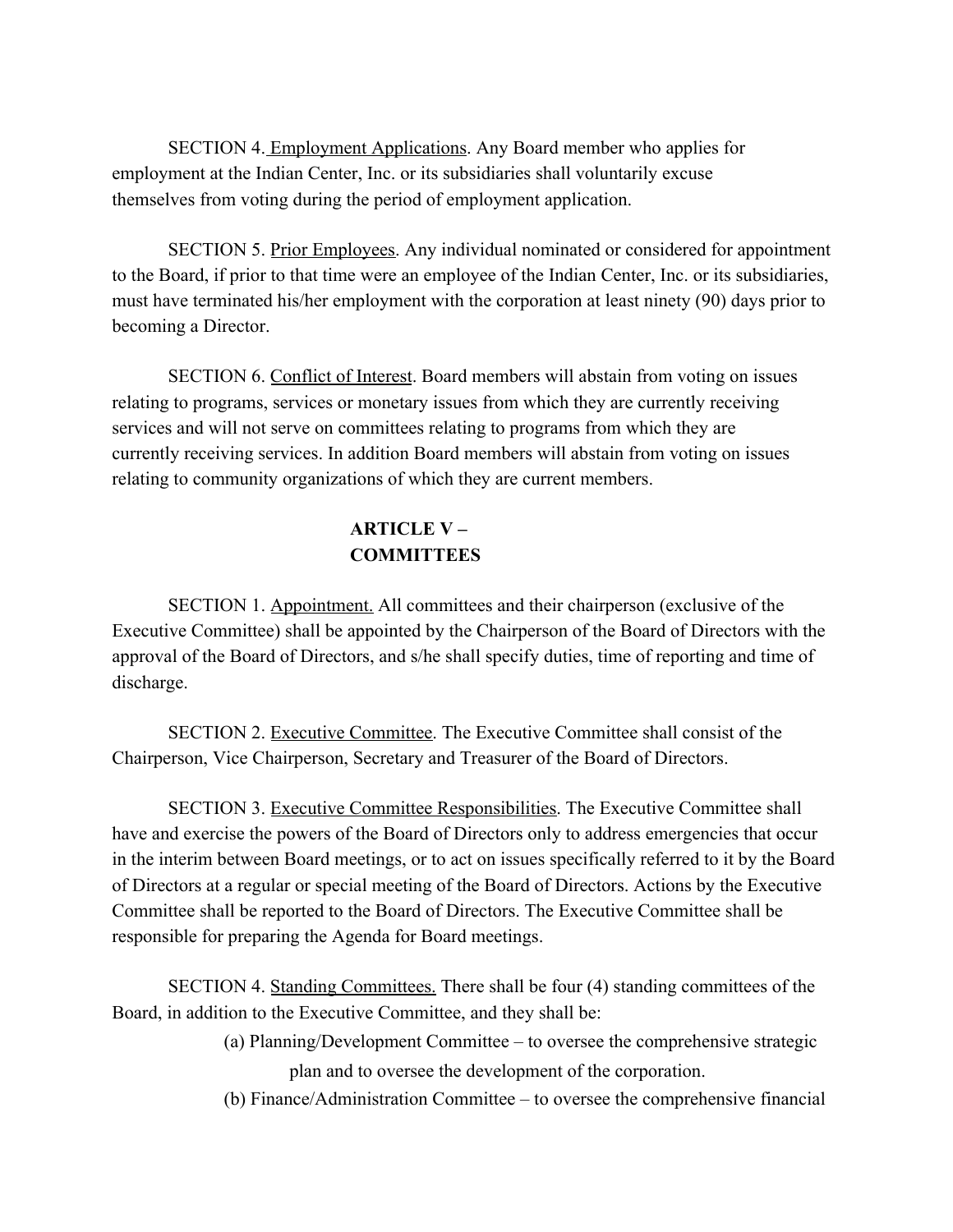SECTION 4. Employment Applications. Any Board member who applies for employment at the Indian Center, Inc. or its subsidiaries shall voluntarily excuse themselves from voting during the period of employment application.

SECTION 5. Prior Employees. Any individual nominated or considered for appointment to the Board, if prior to that time were an employee of the Indian Center, Inc. or its subsidiaries, must have terminated his/her employment with the corporation at least ninety (90) days prior to becoming a Director.

SECTION 6. Conflict of Interest. Board members will abstain from voting on issues relating to programs, services or monetary issues from which they are currently receiving services and will not serve on committees relating to programs from which they are currently receiving services. In addition Board members will abstain from voting on issues relating to community organizations of which they are current members.

# **ARTICLE V – COMMITTEES**

SECTION 1. Appointment. All committees and their chairperson (exclusive of the Executive Committee) shall be appointed by the Chairperson of the Board of Directors with the approval of the Board of Directors, and s/he shall specify duties, time of reporting and time of discharge.

SECTION 2. Executive Committee. The Executive Committee shall consist of the Chairperson, Vice Chairperson, Secretary and Treasurer of the Board of Directors.

SECTION 3. Executive Committee Responsibilities. The Executive Committee shall have and exercise the powers of the Board of Directors only to address emergencies that occur in the interim between Board meetings, or to act on issues specifically referred to it by the Board of Directors at a regular or special meeting of the Board of Directors. Actions by the Executive Committee shall be reported to the Board of Directors. The Executive Committee shall be responsible for preparing the Agenda for Board meetings.

SECTION 4. Standing Committees. There shall be four (4) standing committees of the Board, in addition to the Executive Committee, and they shall be:

> (a) Planning/Development Committee – to oversee the comprehensive strategic plan and to oversee the development of the corporation.

(b) Finance/Administration Committee – to oversee the comprehensive financial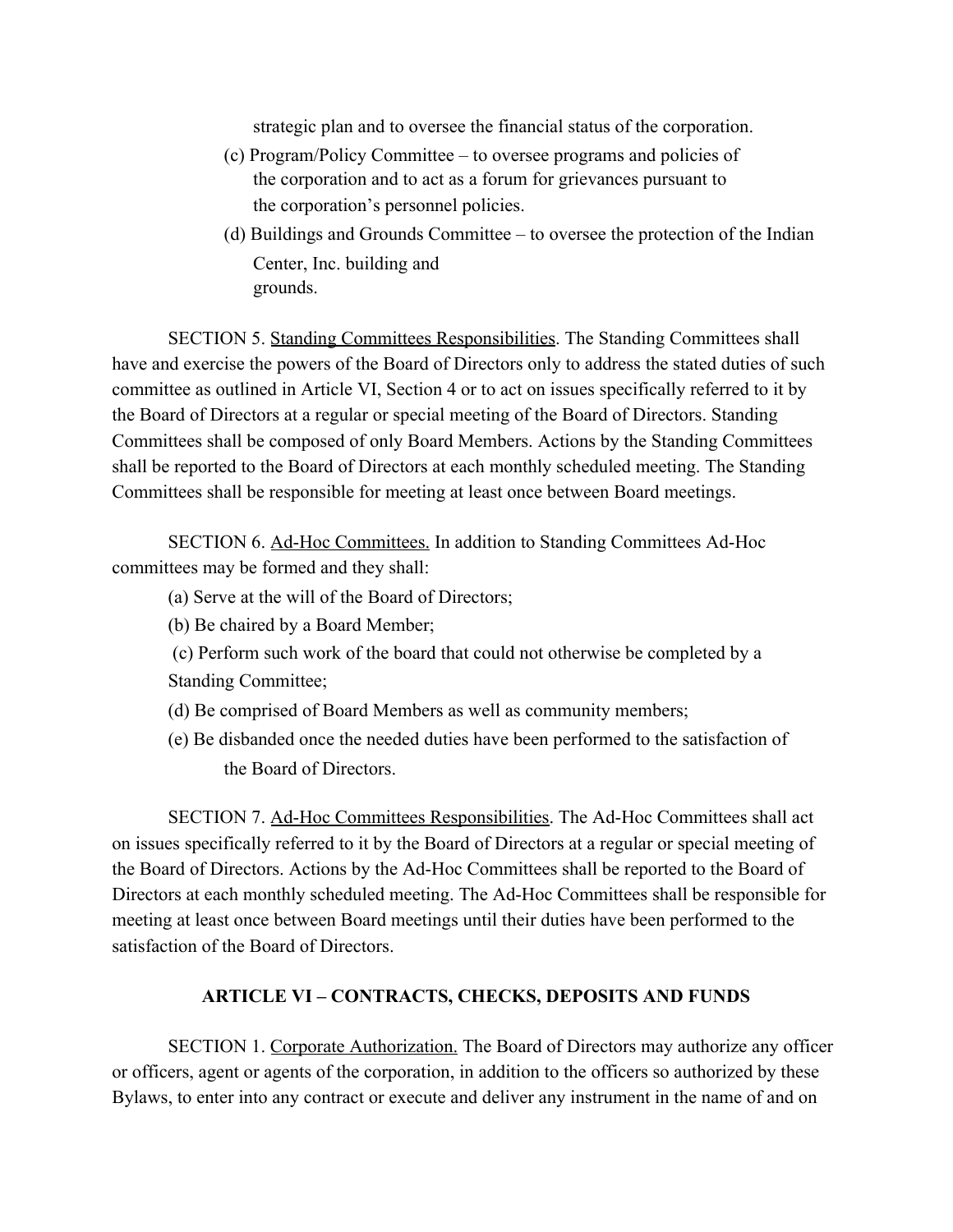strategic plan and to oversee the financial status of the corporation.

- (c) Program/Policy Committee to oversee programs and policies of the corporation and to act as a forum for grievances pursuant to the corporation's personnel policies.
- (d) Buildings and Grounds Committee to oversee the protection of the Indian Center, Inc. building and grounds.

SECTION 5. Standing Committees Responsibilities. The Standing Committees shall have and exercise the powers of the Board of Directors only to address the stated duties of such committee as outlined in Article VI, Section 4 or to act on issues specifically referred to it by the Board of Directors at a regular or special meeting of the Board of Directors. Standing Committees shall be composed of only Board Members. Actions by the Standing Committees shall be reported to the Board of Directors at each monthly scheduled meeting. The Standing Committees shall be responsible for meeting at least once between Board meetings.

SECTION 6. Ad-Hoc Committees. In addition to Standing Committees Ad-Hoc committees may be formed and they shall:

- (a) Serve at the will of the Board of Directors;
- (b) Be chaired by a Board Member;
- (c) Perform such work of the board that could not otherwise be completed by a Standing Committee;
- (d) Be comprised of Board Members as well as community members;
- (e) Be disbanded once the needed duties have been performed to the satisfaction of the Board of Directors.

SECTION 7. Ad-Hoc Committees Responsibilities. The Ad-Hoc Committees shall act on issues specifically referred to it by the Board of Directors at a regular or special meeting of the Board of Directors. Actions by the Ad-Hoc Committees shall be reported to the Board of Directors at each monthly scheduled meeting. The Ad-Hoc Committees shall be responsible for meeting at least once between Board meetings until their duties have been performed to the satisfaction of the Board of Directors.

#### **ARTICLE VI – CONTRACTS, CHECKS, DEPOSITS AND FUNDS**

SECTION 1. Corporate Authorization. The Board of Directors may authorize any officer or officers, agent or agents of the corporation, in addition to the officers so authorized by these Bylaws, to enter into any contract or execute and deliver any instrument in the name of and on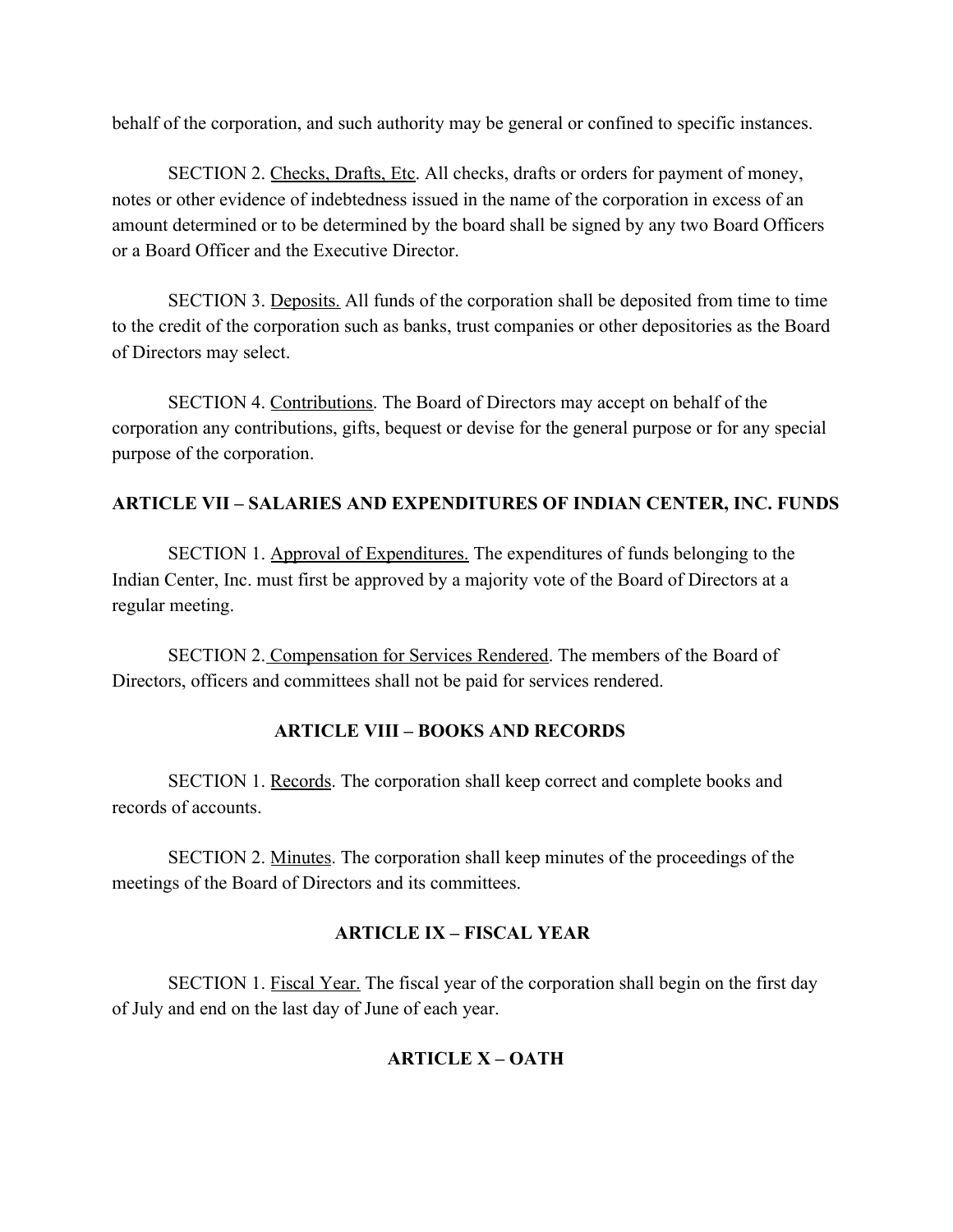behalf of the corporation, and such authority may be general or confined to specific instances.

SECTION 2. Checks, Drafts, Etc. All checks, drafts or orders for payment of money, notes or other evidence of indebtedness issued in the name of the corporation in excess of an amount determined or to be determined by the board shall be signed by any two Board Officers or a Board Officer and the Executive Director.

SECTION 3. Deposits. All funds of the corporation shall be deposited from time to time to the credit of the corporation such as banks, trust companies or other depositories as the Board of Directors may select.

SECTION 4. Contributions. The Board of Directors may accept on behalf of the corporation any contributions, gifts, bequest or devise for the general purpose or for any special purpose of the corporation.

## **ARTICLE VII – SALARIES AND EXPENDITURES OF INDIAN CENTER, INC. FUNDS**

SECTION 1. Approval of Expenditures. The expenditures of funds belonging to the Indian Center, Inc. must first be approved by a majority vote of the Board of Directors at a regular meeting.

SECTION 2. Compensation for Services Rendered. The members of the Board of Directors, officers and committees shall not be paid for services rendered.

## **ARTICLE VIII – BOOKS AND RECORDS**

SECTION 1. Records. The corporation shall keep correct and complete books and records of accounts.

SECTION 2. Minutes. The corporation shall keep minutes of the proceedings of the meetings of the Board of Directors and its committees.

## **ARTICLE IX – FISCAL YEAR**

SECTION 1. Fiscal Year. The fiscal year of the corporation shall begin on the first day of July and end on the last day of June of each year.

# **ARTICLE X – OATH**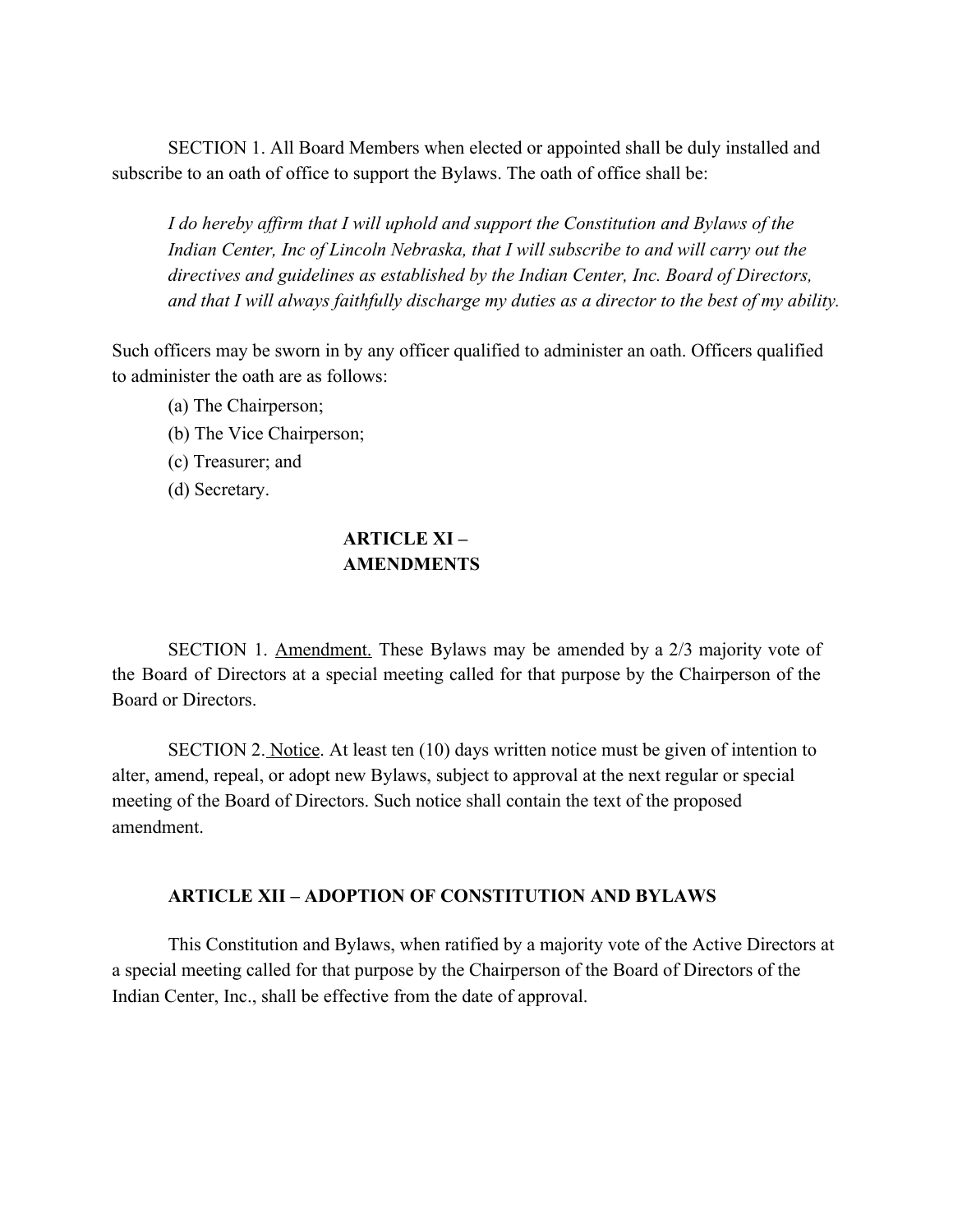SECTION 1. All Board Members when elected or appointed shall be duly installed and subscribe to an oath of office to support the Bylaws. The oath of office shall be:

*I do hereby affirm that I will uphold and support the Constitution and Bylaws of the Indian Center, Inc of Lincoln Nebraska, that I will subscribe to and will carry out the directives and guidelines as established by the Indian Center, Inc. Board of Directors, and that I will always faithfully discharge my duties as a director to the best of my ability.*

Such officers may be sworn in by any officer qualified to administer an oath. Officers qualified to administer the oath are as follows:

- (a) The Chairperson;
- (b) The Vice Chairperson;
- (c) Treasurer; and
- (d) Secretary.

## **ARTICLE XI – AMENDMENTS**

SECTION 1. Amendment. These Bylaws may be amended by a 2/3 majority vote of the Board of Directors at a special meeting called for that purpose by the Chairperson of the Board or Directors.

SECTION 2. Notice. At least ten (10) days written notice must be given of intention to alter, amend, repeal, or adopt new Bylaws, subject to approval at the next regular or special meeting of the Board of Directors. Such notice shall contain the text of the proposed amendment.

#### **ARTICLE XII – ADOPTION OF CONSTITUTION AND BYLAWS**

This Constitution and Bylaws, when ratified by a majority vote of the Active Directors at a special meeting called for that purpose by the Chairperson of the Board of Directors of the Indian Center, Inc., shall be effective from the date of approval.